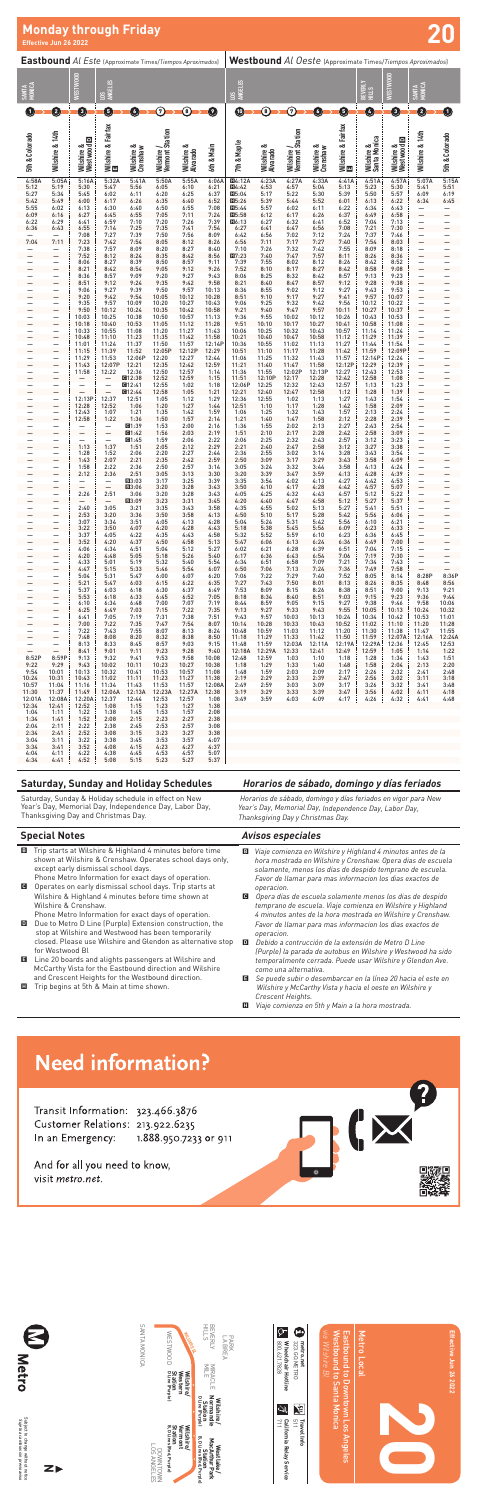| <b>Eastbound</b> Al Este (Approximate Times/Tiempos Aproximados) |                               |                          |                                                      |                        |                               |                        | Westbound Al Oeste (Approximate Times/Tiempos Aproximados) |                                                |                        |                               |                        |                          |                            |                                  |                               |                          |
|------------------------------------------------------------------|-------------------------------|--------------------------|------------------------------------------------------|------------------------|-------------------------------|------------------------|------------------------------------------------------------|------------------------------------------------|------------------------|-------------------------------|------------------------|--------------------------|----------------------------|----------------------------------|-------------------------------|--------------------------|
| SANTA<br>MONICA                                                  |                               | WESTWOOD                 | <b>ANGELES</b><br>$\Xi$                              |                        |                               |                        |                                                            | LOS<br>Angeles                                 |                        |                               |                        |                          | BEVERLY<br>HILLS           | WESTWOOD                         | SANTA<br>MONICA               |                          |
| $\boxed{1}$                                                      | 0                             | ❺                        | ❶                                                    | $\bullet$              | $\bm{\odot}$                  | ◉                      | Ø                                                          | $\bf \Phi$                                     | $\circledcirc$         | $\bm{\odot}$                  | ◑                      | 0                        | ❹                          | €                                | ❷                             | 0                        |
| 5th & Colorado                                                   | Wilshire & 14th               | Wilshire &<br>Westwood D | Wilshire & Fairfax<br>[3]                            | Wilshire &<br>Crenshaw | Wilshire /<br>Vermont Station | Wilshire &<br>Alvarado | 6th & Main                                                 | 7th & Maple                                    | Wilshire &<br>Alvarado | Wilshire /<br>Vermont Station | Wilshire &<br>Crenshaw | Wilshire & Fairfax<br>El | Wilshire &<br>Santa Monica | $\Box$<br>Wilshire &<br>Westwood | Wilshire & 14th               | 5th & Colorado           |
| 4:58A<br>5:12                                                    | 5:05A<br>5:19                 | 5:16A<br>5:30            | 5:32A<br>5:47                                        | 5:41A<br>5:56          | 5:50A<br>6:05                 | 5:55A<br>6:10          | 6:06A<br>6:21                                              | <b>H4:12A</b><br>Ⅲ4:42                         | 4:23A<br>4:53          | 4:27A<br>4:57                 | 4:33A<br>5:04          | 4:41A<br>5:13            | 4:51A<br>5:23              | 4:57A<br>5:30                    | 5:07A<br>5:41                 | 5:15A<br>5:51            |
| 5:27                                                             | 5:34                          | 5:45                     | 6:02                                                 | 6:11                   | 6:20                          | 6:25                   | 6:37                                                       | III5:04                                        | 5:17                   | 5:22                          | 5:30                   | 5:39                     | 5:50                       | 5:57                             | 6:09                          | 6:19                     |
| 5:42                                                             | 5:49<br>6:02                  | 6:00<br>6:13             | 6:17<br>6:30                                         | 6:26<br>6:40           | 6:35<br>6:50                  | 6:40<br>6:55           | 6:52<br>7:08                                               | $\Pi$ <sub>5:26</sub><br>$\Pi$ <sub>5:44</sub> | 5:39<br>5:57           | 5:44<br>6:02                  | 5:52<br>6:11           | 6:01<br>6:22             | 6:13<br>6:34               | 6:22<br>6:43                     | 6:34                          | 6:45                     |
| 5:55<br>6:09                                                     | 6:16                          | 6:27                     | 6:45                                                 | 6:55                   | 7:05                          | 7:11                   | 7:24                                                       | $\Pi$ <sub>5:58</sub>                          | 6:12                   | 6:17                          | 6:26                   | 6:37                     | 6:49                       | 6:58                             | —<br>$\overline{\phantom{0}}$ | —                        |
| 6:22                                                             | 6:29<br>6:43                  | 6:41                     | 6:59<br>7:14                                         | 7:10<br>7:25           | 7:20<br>7:35                  | 7:26<br>7:41           | 7:39<br>7:54                                               | $\Pi$ 6:13<br>6:27                             | 6:27                   | 6:32<br>6:47                  | 6:41<br>6:56           | 6:52<br>7:08             | 7:04<br>7:21               | 7:13<br>7:30                     | -<br>—                        | -<br>-                   |
| 6:36                                                             |                               | 6:55<br>7:08             | 7:27                                                 | 7:39                   | 7:50                          | 7:56                   | 8:09                                                       | 6:42                                           | 6:41<br>6:56           | 7:02                          | 7:12                   | 7:24                     | 7:37                       | 7:46                             |                               | —                        |
| 7:04                                                             | 7:11                          | 7:23                     | 7:42                                                 | 7:54                   | 8:05                          | 8:12                   | 8:26                                                       | 6:56                                           | 7:11                   | 7:17                          | 7:27                   | 7:40                     | 7:54                       | 8:03                             | $\overline{\phantom{0}}$      | $\overline{\phantom{0}}$ |
|                                                                  | $\equiv$                      | 7:38<br>7:52             | 7:57<br>8:12                                         | 8:09<br>8:24           | 8:20<br>8:35                  | 8:27<br>8:42           | 8:40<br>8:56                                               | 7:10<br>$\Pi7:23$                              | 7:26<br>7:40           | 7:32<br>7:47                  | 7:42<br>7:57           | 7:55<br>8:11             | 8:09<br>8:26               | 8:18<br>8:36                     | $\equiv$                      |                          |
|                                                                  |                               | 8:06                     | 8:27                                                 | 8:39                   | 8:50                          | 8:57                   | 9:11                                                       | 7:39                                           | 7:55                   | 8:02                          | 8:12                   | 8:26                     | 8:42                       | 8:52                             |                               |                          |
|                                                                  | $\overline{\phantom{0}}$      | 8:21<br>8:36             | 8:42<br>8:57                                         | 8:54<br>9:09           | 9:05<br>9:20                  | 9:12<br>9:27           | 9:26<br>9:43                                               | 7:52<br>8:06                                   | 8:10<br>8:25           | 8:17<br>8:32                  | 8:27<br>8:42           | 8:42<br>8:57             | 8:58<br>9:13               | 9:08<br>9:23                     | -<br>-                        | $\overline{\phantom{0}}$ |
|                                                                  |                               | 8:51                     | 9:12                                                 | 9:24                   | 9:35                          | 9:42                   | 9:58                                                       | 8:21                                           | 8:40                   | 8:47                          | 8:57                   | 9:12                     | 9:28                       | 9:38                             | —                             | —                        |
|                                                                  |                               | 9:06                     | 9:27                                                 | 9:39                   | 9:50                          | 9:57                   | 10:13                                                      | 8:36                                           | 8:55                   | 9:02                          | 9:12                   | 9:27                     | 9:43                       | 9:53                             |                               |                          |
|                                                                  |                               | 9:20<br>9:35             | 9:42<br>9:57                                         | 9:54<br>10:09          | 10:05<br>10:20                | 10:12<br>10:27         | 10:28<br>10:43                                             | 8:51<br>9:06                                   | 9:10<br>9:25           | 9:17<br>9:32                  | 9:27<br>9:42           | 9:41<br>9:56             | 9:57<br>10:12              | 10:07<br>10:22                   | $\overline{\phantom{0}}$<br>- | -<br>-                   |
|                                                                  |                               | 9:50                     | 10:12                                                | 10:24                  | 10:35                         | 10:42                  | 10:58                                                      | 9:21                                           | 9:40                   | 9:47                          | 9:57                   | 10:11                    | 10:27                      | 10:37                            | -                             |                          |
|                                                                  |                               | 10:03<br>10:18           | 10:25<br>10:40                                       | 10:38<br>10:53         | 10:50<br>11:05                | 10:57<br>11:12         | 11:13<br>11:28                                             | 9:36<br>9:51                                   | 9:55<br>10:10          | 10:02<br>10:17                | 10:12<br>10:27         | 10:26<br>10:41           | 10:43<br>10:58             | 10:53<br>11:08                   |                               |                          |
|                                                                  |                               | 10:33                    | 10:55                                                | 11:08                  | 11:20                         | 11:27                  | 11:43                                                      | 10:06                                          | 10:25                  | 10:32                         | 10:43                  | 10:57                    | 11:14                      | 11:24                            | -                             | —                        |
|                                                                  |                               | 10:48<br>11:01           | 11:10<br>11:24                                       | 11:23<br>11:37         | 11:35<br>11:50                | 11:42<br>11:57         | 11:58<br>12:14P                                            | 10:21<br>10:36                                 | 10:40<br>10:55         | 10:47<br>11:02                | 10:58<br>11:13         | 11:12<br>11:27           | 11:29<br>11:44             | 11:39<br>11:54                   | $\overline{\phantom{0}}$      |                          |
|                                                                  | $\overline{\phantom{0}}$      | 11:15                    | 11:39                                                | 11:52                  | 12:05P                        | 12:12P                 | 12:29                                                      | 10:51                                          | 11:10                  | 11:17                         | 11:28                  | 11:42                    | 11:59                      | 12:09P                           | —                             | $\overline{\phantom{0}}$ |
|                                                                  |                               | 11:29                    | 11:53                                                | 12:06P                 | 12:20                         | 12:27                  | 12:44                                                      | 11:06                                          | 11:25                  | 11:32                         | 11:43                  | 11:57                    | 12:14P                     | 12:24                            | —                             |                          |
|                                                                  |                               | 11:43<br>11:58           | 12:07P<br>12:22                                      | 12:21<br>12:36         | 12:35<br>12:50                | 12:42<br>12:57         | 12:59<br>1:14                                              | 11:21<br>11:36                                 | 11:40<br>11:55         | 11:47<br>12:02P               | 11:58<br>12:13P        | 12:12P<br>12:27          | 12:29<br>12:43             | 12:39<br>12:53                   | —                             | -                        |
|                                                                  |                               |                          | ۰                                                    | ■12:38                 | 12:52                         | 12:59                  | 1:15                                                       | 11:51                                          | 12:10P                 | 12:17                         | 12:28                  | 12:42                    | 12:58                      | 1:08                             | —                             | $\overline{\phantom{0}}$ |
|                                                                  |                               |                          | $\equiv$                                             | @12:41<br>图12:44       | 12:55<br>12:58                | 1:02<br>1:05           | 1:18<br>1:21                                               | 12:06P<br>12:21                                | 12:25<br>12:40         | 12:32<br>12:47                | 12:43<br>12:58         | 12:57<br>1:12            | 1:13<br>1:28               | 1:23<br>1:39                     | $\equiv$                      |                          |
|                                                                  |                               | 12:13P                   | 12:37                                                | 12:51                  | 1:05                          | 1:12                   | 1:29                                                       | 12:36                                          | 12:55                  | 1:02                          | 1:13                   | 1:27                     | 1:43                       | 1:54                             |                               |                          |
|                                                                  | $\overline{\phantom{0}}$      | 12:28<br>12:43           | 12:52<br>1:07                                        | 1:06<br>1:21           | 1:20<br>1:35                  | 1:27<br>1:42           | 1:44<br>1:59                                               | 12:51<br>1:06                                  | 1:10<br>1:25           | 1:17<br>1:32                  | 1:28<br>1:43           | 1:42<br>1:57             | 1:58<br>2:13               | 2:09<br>2:24                     | -<br>-                        | $\overline{\phantom{0}}$ |
|                                                                  |                               | 12:58                    | 1:22                                                 | 1:36                   | 1:50                          | 1:57                   | 2:14                                                       | 1:21                                           | 1:40                   | 1:47                          | 1:58                   | 2:12                     | 2:28                       | 2:39                             | —                             | —                        |
|                                                                  |                               |                          | $\overline{\phantom{0}}$<br>$\overline{\phantom{0}}$ | <b>回1:39</b><br>01:42  | 1:53                          | 2:00                   | 2:16                                                       | 1:36                                           | 1:55                   | 2:02                          | 2:13                   | 2:27                     | 2:43                       | 2:54                             | $\overline{\phantom{0}}$      | -                        |
|                                                                  |                               | —                        | —                                                    | 01:45                  | 1:56<br>1:59                  | 2:03<br>2:06           | 2:19<br>2:22                                               | 1:51<br>2:06                                   | 2:10<br>2:25           | 2:17<br>2:32                  | 2:28<br>2:43           | 2:42<br>2:57             | 2:58<br>3:12               | 3:09<br>3:23                     | -                             | -                        |
|                                                                  |                               | 1:13                     | 1:37                                                 | 1:51                   | 2:05                          | 2:12                   | 2:29                                                       | 2:21                                           | 2:40                   | 2:47                          | 2:58                   | 3:12                     | 3:27                       | 3:38                             | -                             |                          |
|                                                                  |                               | 1:28<br>1:43             | 1:52<br>2:07                                         | 2:06<br>2:21           | 2:20<br>2:35                  | 2:27<br>2:42           | 2:44<br>2:59                                               | 2:36<br>2:50                                   | 2:55<br>3:09           | 3:02<br>3:17                  | 3:14<br>3:29           | 3:28<br>3:43             | 3:43<br>3:58               | 3:54<br>4:09                     |                               |                          |
|                                                                  |                               | 1:58                     | 2:22                                                 | 2:36                   | 2:50                          | 2:57                   | 3:14                                                       | 3:05                                           | 3:24                   | 3:32                          | 3:44                   | 3:58                     | 4:13                       | 4:24                             | -                             | —                        |
|                                                                  |                               | 2:12                     | 2:36                                                 | 2:51                   | 3:05                          | 3:13                   | 3:30                                                       | 3:20                                           | 3:39                   | 3:47                          | 3:59                   | 4:13                     | 4:28                       | 4:39                             | $\overline{\phantom{0}}$      |                          |
| —                                                                | -                             | -                        | —<br>$\qquad \qquad -$                               | E13:03<br>■3:06        | 3:17<br>3:20                  | 3:25<br>3:28           | 3:39<br>3:43                                               | 3:35<br>3:50                                   | 3:54<br>4:10           | 4:02<br>4:17                  | 4:13<br>4:28           | 4:27<br>4:42             | 4:42<br>4:57               | 4:53<br>5:07                     | <sup>-</sup>                  | —                        |
|                                                                  | -                             | 2:26                     | 2:51                                                 | 3:06                   | 3:20                          | 3:28                   | 3:43                                                       | 4:05                                           | 4:25                   | 4:32                          | 4:43                   | 4:57                     | 5:12                       | 5:22                             | —                             | $\equiv$                 |
| $\overline{\phantom{0}}$<br>—                                    | —                             | 2:40                     | $\qquad \qquad -$<br>3:05                            | ■3:09<br>3:21          | 3:23<br>3:35                  | 3:31<br>3:43           | 3:45<br>3:58                                               | 4:20<br>4:35                                   | 4:40<br>4:55           | 4:47<br>5:02                  | 4:58<br>5:13           | 5:12<br>5:27             | 5:27<br>5:41               | 5:37<br>5:51                     | $\overline{a}$<br>-           |                          |
| $\overline{\phantom{0}}$                                         | —                             | 2:53                     | 3:20                                                 | 3:36                   | 3:50                          | 3:58                   | 4:13                                                       | 4:50                                           | 5:10                   | 5:17                          | 5:28                   | 5:42                     | 5:56                       | 6:06                             | $\overline{\phantom{0}}$      | $\equiv$                 |
| $\equiv$                                                         | $\overline{\phantom{a}}$      | 3:07<br>3:22             | 3:34<br>3:50                                         | 3:51<br>4:07           | 4:05<br>4:20                  | 4:13<br>4:28           | 4:28<br>4:43                                               | 5:04<br>5:18                                   | 5:24<br>5:38           | 5:31<br>5:45                  | 5:42<br>5:56           | 5:56<br>6:09             | 6:10<br>6:23               | 6:21<br>6:33                     | $\equiv$                      | $\equiv$                 |
| $\equiv$                                                         | $\equiv$                      | 3:37                     | 4:05                                                 | 4:22                   | 4:35                          | 4:43                   | 4:58                                                       | 5:32                                           | 5:52                   | 5:59                          | 6:10                   | 6:23                     | 6:36                       | 6:45                             | $\equiv$                      | $\equiv$                 |
|                                                                  |                               | 3:52<br>4:06             | 4:20<br>4:34                                         | 4:37<br>4:51           | 4:50<br>5:04                  | 4:58<br>5:12           | 5:13<br>5:27                                               | 5:47<br>6:02                                   | 6:06<br>6:21           | 6:13<br>6:28                  | 6:24<br>6:39           | 6:36<br>6:51             | 6:49<br>7:04               | 7:00<br>7:15                     |                               |                          |
| —<br>$\overline{a}$                                              | —<br>-                        | 4:20                     | 4:48                                                 | 5:05                   | 5:18                          | 5:26                   | 5:40                                                       | 6:17                                           | 6:36                   | 6:43                          | 6:54                   | 7:06                     | 7:19                       | 7:30                             | $\equiv$                      | $\equiv$                 |
| $\equiv$                                                         | —<br>$\overline{\phantom{0}}$ | 4:33                     | 5:01                                                 | 5:19                   | 5:32                          | 5:40                   | 5:54                                                       | 6:34                                           | 6:51                   | 6:58                          | 7:09                   | 7:21                     | 7:34                       | 7:43                             | $\equiv$                      | $\equiv$                 |
| —                                                                | —                             | 4:47<br>5:04             | 5:15<br>5:31                                         | 5:33<br>5:47           | 5:46<br>6:00                  | 5:54<br>6:07           | 6:07<br>6:20                                               | 6:50<br>7:06                                   | 7:06<br>7:22           | 7:13<br>7:29                  | 7:24<br>7:40           | 7:36<br>7:52             | 7:49<br>8:05               | 7:58<br>8:14                     | 8:28P                         | 8:36P                    |
| $\overline{a}$                                                   | —                             | 5:21                     | 5:47                                                 | 6:03                   | 6:15                          | 6:22                   | 6:35                                                       | 7:27                                           | 7:43                   | 7:50                          | 8:01                   | 8:13                     | 8:26                       | 8:35                             | 8:48                          | 8:56                     |
| $\equiv$                                                         | $\equiv$                      | 5:37<br>5:53             | 6:03<br>6:18                                         | 6:18<br>6:33           | 6:30<br>6:45                  | 6:37<br>6:52           | 6:49<br>7:05                                               | 7:53<br>8:18                                   | 8:09<br>8:34           | 8:15<br>8:40                  | 8:26<br>8:51           | 8:38<br>9:03             | 8:51<br>9:15               | 9:00<br>9:23                     | 9:13<br>9:36                  | 9:21<br>9:44             |
| $\equiv$                                                         | -                             | 6:10                     | 6:34                                                 | 6:48                   | 7:00                          | 7:07                   | 7:19                                                       | 8:44                                           | 8:59                   | 9:05                          | 9:15                   | 9:27                     | 9:38                       | 9:46                             | 9:58                          | 10:06                    |
|                                                                  | $\overline{\phantom{0}}$      | 6:25<br>6:41             | 6:49<br>7:05                                         | 7:03<br>7:19           | 7:15<br>7:31                  | 7:22<br>7:38           | 7:35<br>7:51                                               | 9:13<br>9:43                                   | 9:27<br>9:57           | 9:33<br>10:03                 | 9:43<br>10:13          | 9:55<br>10:24            | 10:05<br>10:34             | 10:13<br>10:42                   | 10:24<br>10:53                | 10:32<br>11:01           |
| $\equiv$                                                         | $\equiv$                      | 7:00                     | 7:22                                                 | 7:35                   | 7:47                          | 7:54                   | 8:07                                                       | 10:14                                          | 10:28                  | 10:33                         | 10:43                  | 10:52                    | 11:02                      | 11:10                            | 11:20                         | 11:28<br>11:55           |
| —<br>$\overline{\phantom{0}}$                                    | -<br>$\overline{\phantom{0}}$ | 7:22<br>7:48             | 7:43<br>8:08                                         | 7:55<br>8:20           | 8:07<br>8:32                  | 8:13<br>8:38           | 8:24<br>8:50                                               | 10:48<br>11:18                                 | 10:59<br>11:29         | 11:03<br>11:33                | 11:12<br>11:42         | 11:20<br>11:50           | 11:30<br>11:59             | 11:38<br>12:07A                  | 11:47<br>12:16A               | 12:24A                   |
| —                                                                | $\equiv$                      | 8:13                     | 8:33                                                 | 8:45                   | 8:57                          | 9:03                   | 9:15                                                       | 11:48                                          | 11:59                  | 12:03A                        | 12:11A                 | 12:19A                   | 12:29A                     | 12:36                            | 12:45                         | 12:53                    |
| $\overline{\phantom{0}}$<br>8:52P                                | 8:59P                         | 8:41<br>9:13             | 9:01<br>9:32                                         | 9:11<br>9:41           | 9:23<br>9:53                  | 9:28<br>9:58           | 9:40<br>10:08                                              | 12:18A<br>12:48                                | 12:29A<br>12:59        | 12:33<br>1:03                 | 12:41<br>1:10          | 12:49<br>1:18            | 12:59<br>1:28              | 1:05<br>1:34                     | 1:14<br>1:43                  | 1:22<br>1:51             |
| 9:22                                                             | 9:29                          | 9:43                     | 10:02                                                | 10:11                  | 10:23                         | 10:27                  | 10:38                                                      | 1:18                                           | 1:29                   | 1:33                          | 1:40                   | 1:48                     | 1:58                       | 2:04                             | 2:13                          | 2:20                     |
| 9:54                                                             | 10:01                         | 10:13                    | 10:32                                                | 10:41                  | 10:53                         | 10:57                  | 11:08                                                      | 1:48                                           | 1:59                   | 2:03                          | 2:09                   | 2:17                     | 2:26                       | 2:32                             | 2:41                          | 2:48                     |
| 10:24<br>10:57                                                   | 10:31<br>11:04                | 10:43<br>11:16           | 11:02<br>11:34                                       | 11:11<br>11:43         | 11:23<br>11:53                | 11:27<br>11:57         | 11:38<br>12:08A                                            | 2:19<br>2:49                                   | 2:29<br>2:59           | 2:33<br>3:03                  | 2:39<br>3:09           | 2:47<br>3:17             | 2:56<br>3:26               | 3:02<br>3:32                     | 3:11<br>3:41                  | 3:18<br>3:48             |
| 11:30                                                            | 11:37                         | 11:49                    | 12:06A                                               | 12:13A                 | 12:23A                        | 12:27A                 | 12:38                                                      | 3:19                                           | 3:29                   | 3:33                          | 3:39                   | 3:47                     | 3:56                       | 4:02                             | 4:11                          | 4:18                     |
| 12:01A<br>12:34                                                  | 12:08A<br>12:41               | 12:20A                   | 12:37<br>1:08                                        | 12:44<br>1:15          | 12:53<br>1:23                 | 12:57<br>1:27          | 1:08<br>1:38                                               | 3:49                                           | 3:59                   | 4:03                          | 4:09                   | 4:17                     | 4:26                       | 4:32                             | 4:41                          | 4:48                     |
| 1:04                                                             | 1:11                          | 12:52<br>1:22            | 1:38                                                 | 1:45                   | 1:53                          | 1:57                   | 2:08                                                       |                                                |                        |                               |                        |                          |                            |                                  |                               |                          |
| 1:34                                                             | 1:41                          | 1:52                     | 2:08                                                 | 2:15                   | 2:23                          | 2:27                   | 2:38                                                       |                                                |                        |                               |                        |                          |                            |                                  |                               |                          |
| 2:04<br>2:34                                                     | 2:11<br>2:41                  | 2:22<br>2:52             | 2:38<br>3:08                                         | 2:45<br>3:15           | 2:53<br>3:23                  | 2:57<br>3:27           | 3:08<br>3:38                                               |                                                |                        |                               |                        |                          |                            |                                  |                               |                          |
| 3:04                                                             | 3:11                          | 3:22                     | 3:38                                                 | 3:45                   | 3:53                          | 3:57                   | 4:07                                                       |                                                |                        |                               |                        |                          |                            |                                  |                               |                          |
| 3:34<br>4:04                                                     | 3:41<br>4:11                  | 3:52<br>4:22             | 4:08<br>4:38                                         | 4:15<br>4:45           | 4:23<br>4:53                  | 4:27<br>4:57           | 4:37<br>5:07                                               |                                                |                        |                               |                        |                          |                            |                                  |                               |                          |
| 4:34                                                             | 4:41                          | 4:52                     | 5:08                                                 | 5:15                   | 5:23                          | 5:27                   | 5:37                                                       |                                                |                        |                               |                        |                          |                            |                                  |                               |                          |

| WESTWOOD<br><b>WISHIER</b> | BEVERLY<br>HILLS<br>PARK<br>LA BREA                                                                                                                     | 800.621.7828<br>metro.net<br>323.60.METRO                                                                                                     | via Wilshire<br>Eastbound to<br>Westbound to                                       | Metro                                | Effective Jun 26 2022 |
|----------------------------|---------------------------------------------------------------------------------------------------------------------------------------------------------|-----------------------------------------------------------------------------------------------------------------------------------------------|------------------------------------------------------------------------------------|--------------------------------------|-----------------------|
|                            |                                                                                                                                                         | y.<br>C.                                                                                                                                      | 回                                                                                  |                                      |                       |
|                            |                                                                                                                                                         |                                                                                                                                               |                                                                                    |                                      |                       |
|                            | Wilshire/<br>Western<br>Station<br><sup>D Line (Purple)</sup><br>Wilshire/<br>Vermont<br>Station<br>B, D Lines (Red, Purple)<br>LOS ANGELES<br>POWNTOWN | MIRACLE<br>MILE<br>Normandie<br>D Line (Purple)<br>Wilshire/<br>Station<br>Station<br>B, D Lines (Red, Purple)<br>Westlake/<br>MacArthur Park | Wheelchair Hotline<br>California Relay Service<br>511<br>711<br><b>Travel Info</b> | Downtown Los Angeles<br>Santa Monica | <u>-ocal</u>          |

# **Monday through Friday Effective Jun 26 2022 20**

Subject to change without notice *Sujeto a cambios sin previo aviso*

Subject to change without notice<br>Sujeto a *cambios sin previo aviso* 

Metro

### **Special Notes**

Trip starts at Wilshire & Highla

### *Avisos especiales*

- shown at Wilshire & Crenshaw. Operates school days only, except early dismissal school days. Phone Metro Information for exact days of operation.
- C Operates on early dismissal school days. Trip starts at Wilshire & Highland 4 minutes before time shown at Wilshire & Crenshaw.
- Phone Metro Information for exact days of operation. D Due to Metro D Line (Purple) Extension construction, the stop at Wilshire and Westwood has been temporarily closed. Please use Wilshire and Glendon as alternative stop for Westwood Bl
- E Line 20 boards and alights passengers at Wilshire and McCarthy Vista for the Eastbound direction and Wilshire and Crescent Heights for the Westbound direction.
- **H** Trip begins at 5th & Main at time shown.
- B *Viaje comienza en Wilshire y Highland 4 minutos antes de la hora mostrada en Wilshire y Crenshaw. Opera dias de escuela solamente, menos los dias de despido temprano de escuela. Favor de llamar para mas informacion los dias exactos de operacion.*
- C *Opera dias de escuela solamente menos los dias de despido temprano de escuela. Viaje comienza en Wilshire y Highland 4 minutos antes de la hora mostrada en Wilshire y Crenshaw. Favor de llamar para mas informacion los dias exactos de operacion.*
- D *Debido a contrucción de la extensión de Metro D Line (Purple) la parada de autobus en Wilshire y Westwood ha sido temporalmente cerrada. Puede usar Wilshire y Glendon Ave. como una alternativa.*
- E *Se puede subir o desembarcar en la línea 20 hacia el este en Wilshire y McCarthy Vista y hacia el oeste en Wilshire y Crescent Heights.*

 $\overline{\mathbf{R}}$ 

H *Viaje comienza en 5th y Main a la hora mostrada.*

# **Need information?**

Transit Information: 323.466.3876 Customer Relations: 213.922.6235 In an Emergency: 1.888.950.7233 or 911

And for all you need to know, visit metro.net.

## **Saturday, Sunday and Holiday Schedules**

Saturday, Sunday & Holiday schedule in effect on New Year's Day, Memorial Day, Independence Day, Labor Day, Thanksgiving Day and Christmas Day.

## *Horarios de sábado, domingo y días feriados*

 *Horarios de sábado, domingo y días feriados en vigor para New Year's Day, Memorial Day, Independence Day, Labor Day, Thanksgiving Day y Christmas Day.*